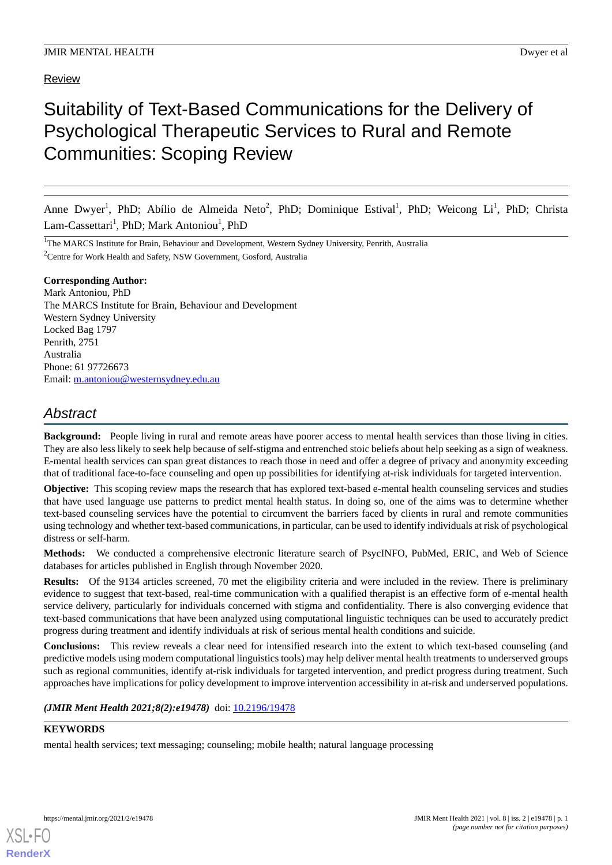Review

# Suitability of Text-Based Communications for the Delivery of Psychological Therapeutic Services to Rural and Remote Communities: Scoping Review

Anne Dwyer<sup>1</sup>, PhD; Abílio de Almeida Neto<sup>2</sup>, PhD; Dominique Estival<sup>1</sup>, PhD; Weicong Li<sup>1</sup>, PhD; Christa Lam-Cassettari<sup>1</sup>, PhD; Mark Antoniou<sup>1</sup>, PhD

<sup>1</sup>The MARCS Institute for Brain, Behaviour and Development, Western Sydney University, Penrith, Australia <sup>2</sup>Centre for Work Health and Safety, NSW Government, Gosford, Australia

**Corresponding Author:** Mark Antoniou, PhD The MARCS Institute for Brain, Behaviour and Development Western Sydney University Locked Bag 1797 Penrith, 2751 Australia Phone: 61 97726673 Email: [m.antoniou@westernsydney.edu.au](mailto:m.antoniou@westernsydney.edu.au)

# *Abstract*

**Background:** People living in rural and remote areas have poorer access to mental health services than those living in cities. They are also less likely to seek help because of self-stigma and entrenched stoic beliefs about help seeking as a sign of weakness. E-mental health services can span great distances to reach those in need and offer a degree of privacy and anonymity exceeding that of traditional face-to-face counseling and open up possibilities for identifying at-risk individuals for targeted intervention.

**Objective:** This scoping review maps the research that has explored text-based e-mental health counseling services and studies that have used language use patterns to predict mental health status. In doing so, one of the aims was to determine whether text-based counseling services have the potential to circumvent the barriers faced by clients in rural and remote communities using technology and whether text-based communications, in particular, can be used to identify individuals at risk of psychological distress or self-harm.

**Methods:** We conducted a comprehensive electronic literature search of PsycINFO, PubMed, ERIC, and Web of Science databases for articles published in English through November 2020.

**Results:** Of the 9134 articles screened, 70 met the eligibility criteria and were included in the review. There is preliminary evidence to suggest that text-based, real-time communication with a qualified therapist is an effective form of e-mental health service delivery, particularly for individuals concerned with stigma and confidentiality. There is also converging evidence that text-based communications that have been analyzed using computational linguistic techniques can be used to accurately predict progress during treatment and identify individuals at risk of serious mental health conditions and suicide.

**Conclusions:** This review reveals a clear need for intensified research into the extent to which text-based counseling (and predictive models using modern computational linguistics tools) may help deliver mental health treatments to underserved groups such as regional communities, identify at-risk individuals for targeted intervention, and predict progress during treatment. Such approaches have implications for policy development to improve intervention accessibility in at-risk and underserved populations.

*(JMIR Ment Health 2021;8(2):e19478)* doi: [10.2196/19478](http://dx.doi.org/10.2196/19478)

# **KEYWORDS**

[XSL](http://www.w3.org/Style/XSL)•FO **[RenderX](http://www.renderx.com/)**

mental health services; text messaging; counseling; mobile health; natural language processing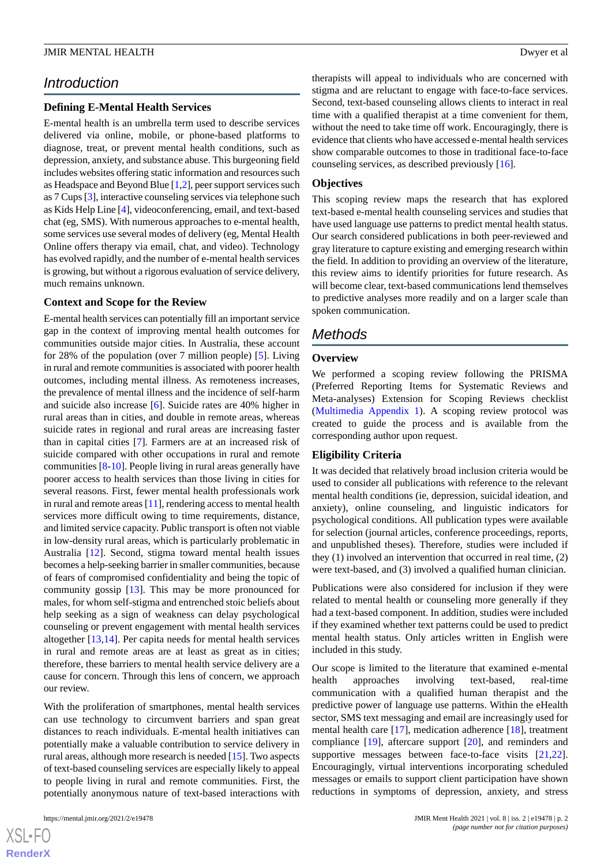# *Introduction*

# **Defining E-Mental Health Services**

E-mental health is an umbrella term used to describe services delivered via online, mobile, or phone-based platforms to diagnose, treat, or prevent mental health conditions, such as depression, anxiety, and substance abuse. This burgeoning field includes websites offering static information and resources such as Headspace and Beyond Blue [[1,](#page-9-0)[2](#page-9-1)], peer support services such as 7 Cups [\[3](#page-9-2)], interactive counseling services via telephone such as Kids Help Line [[4\]](#page-9-3), videoconferencing, email, and text-based chat (eg, SMS). With numerous approaches to e-mental health, some services use several modes of delivery (eg, Mental Health Online offers therapy via email, chat, and video). Technology has evolved rapidly, and the number of e-mental health services is growing, but without a rigorous evaluation of service delivery, much remains unknown.

#### **Context and Scope for the Review**

E-mental health services can potentially fill an important service gap in the context of improving mental health outcomes for communities outside major cities. In Australia, these account for 28% of the population (over 7 million people) [\[5](#page-9-4)]. Living in rural and remote communities is associated with poorer health outcomes, including mental illness. As remoteness increases, the prevalence of mental illness and the incidence of self-harm and suicide also increase [[6\]](#page-9-5). Suicide rates are 40% higher in rural areas than in cities, and double in remote areas, whereas suicide rates in regional and rural areas are increasing faster than in capital cities [\[7](#page-9-6)]*.* Farmers are at an increased risk of suicide compared with other occupations in rural and remote communities [[8-](#page-9-7)[10\]](#page-9-8). People living in rural areas generally have poorer access to health services than those living in cities for several reasons. First, fewer mental health professionals work in rural and remote areas [\[11](#page-9-9)], rendering access to mental health services more difficult owing to time requirements, distance, and limited service capacity. Public transport is often not viable in low-density rural areas, which is particularly problematic in Australia [\[12](#page-9-10)]. Second, stigma toward mental health issues becomes a help-seeking barrier in smaller communities, because of fears of compromised confidentiality and being the topic of community gossip [[13\]](#page-9-11). This may be more pronounced for males, for whom self-stigma and entrenched stoic beliefs about help seeking as a sign of weakness can delay psychological counseling or prevent engagement with mental health services altogether [[13,](#page-9-11)[14](#page-9-12)]. Per capita needs for mental health services in rural and remote areas are at least as great as in cities; therefore, these barriers to mental health service delivery are a cause for concern. Through this lens of concern, we approach our review.

With the proliferation of smartphones, mental health services can use technology to circumvent barriers and span great distances to reach individuals. E-mental health initiatives can potentially make a valuable contribution to service delivery in rural areas, although more research is needed [[15\]](#page-9-13). Two aspects of text-based counseling services are especially likely to appeal to people living in rural and remote communities. First, the potentially anonymous nature of text-based interactions with

 $XS$  $\cdot$ FC **[RenderX](http://www.renderx.com/)** therapists will appeal to individuals who are concerned with stigma and are reluctant to engage with face-to-face services. Second, text-based counseling allows clients to interact in real time with a qualified therapist at a time convenient for them, without the need to take time off work. Encouragingly, there is evidence that clients who have accessed e-mental health services show comparable outcomes to those in traditional face-to-face counseling services, as described previously [\[16](#page-9-14)].

#### **Objectives**

This scoping review maps the research that has explored text-based e-mental health counseling services and studies that have used language use patterns to predict mental health status. Our search considered publications in both peer-reviewed and gray literature to capture existing and emerging research within the field. In addition to providing an overview of the literature, this review aims to identify priorities for future research. As will become clear, text-based communications lend themselves to predictive analyses more readily and on a larger scale than spoken communication.

# *Methods*

# **Overview**

We performed a scoping review following the PRISMA (Preferred Reporting Items for Systematic Reviews and Meta-analyses) Extension for Scoping Reviews checklist ([Multimedia Appendix 1](#page-8-0)). A scoping review protocol was created to guide the process and is available from the corresponding author upon request.

# **Eligibility Criteria**

It was decided that relatively broad inclusion criteria would be used to consider all publications with reference to the relevant mental health conditions (ie, depression, suicidal ideation, and anxiety), online counseling, and linguistic indicators for psychological conditions. All publication types were available for selection (journal articles, conference proceedings, reports, and unpublished theses). Therefore, studies were included if they (1) involved an intervention that occurred in real time, (2) were text-based, and (3) involved a qualified human clinician.

Publications were also considered for inclusion if they were related to mental health or counseling more generally if they had a text-based component. In addition, studies were included if they examined whether text patterns could be used to predict mental health status. Only articles written in English were included in this study.

Our scope is limited to the literature that examined e-mental health approaches involving text-based, real-time communication with a qualified human therapist and the predictive power of language use patterns. Within the eHealth sector, SMS text messaging and email are increasingly used for mental health care [[17\]](#page-9-15), medication adherence [\[18](#page-9-16)], treatment compliance [[19\]](#page-9-17), aftercare support [[20\]](#page-9-18), and reminders and supportive messages between face-to-face visits [\[21](#page-9-19),[22\]](#page-9-20). Encouragingly, virtual interventions incorporating scheduled messages or emails to support client participation have shown reductions in symptoms of depression, anxiety, and stress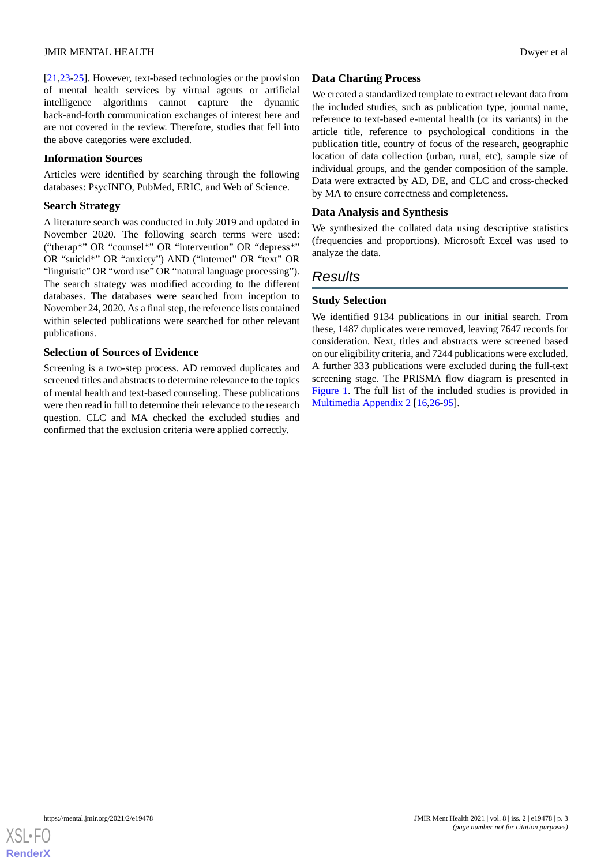[[21](#page-9-19)[,23](#page-9-21)-[25\]](#page-10-0). However, text-based technologies or the provision of mental health services by virtual agents or artificial intelligence algorithms cannot capture the dynamic back-and-forth communication exchanges of interest here and are not covered in the review. Therefore, studies that fell into the above categories were excluded.

#### **Information Sources**

Articles were identified by searching through the following databases: PsycINFO, PubMed, ERIC, and Web of Science.

#### **Search Strategy**

A literature search was conducted in July 2019 and updated in November 2020. The following search terms were used: ("therap\*" OR "counsel\*" OR "intervention" OR "depress\*" OR "suicid\*" OR "anxiety") AND ("internet" OR "text" OR "linguistic" OR "word use" OR "natural language processing"). The search strategy was modified according to the different databases. The databases were searched from inception to November 24, 2020. As a final step, the reference lists contained within selected publications were searched for other relevant publications.

# **Selection of Sources of Evidence**

Screening is a two-step process. AD removed duplicates and screened titles and abstracts to determine relevance to the topics of mental health and text-based counseling. These publications were then read in full to determine their relevance to the research question. CLC and MA checked the excluded studies and confirmed that the exclusion criteria were applied correctly.

# **Data Charting Process**

We created a standardized template to extract relevant data from the included studies, such as publication type, journal name, reference to text-based e-mental health (or its variants) in the article title, reference to psychological conditions in the publication title, country of focus of the research, geographic location of data collection (urban, rural, etc), sample size of individual groups, and the gender composition of the sample. Data were extracted by AD, DE, and CLC and cross-checked by MA to ensure correctness and completeness.

# **Data Analysis and Synthesis**

We synthesized the collated data using descriptive statistics (frequencies and proportions). Microsoft Excel was used to analyze the data.

# *Results*

# **Study Selection**

We identified 9134 publications in our initial search. From these, 1487 duplicates were removed, leaving 7647 records for consideration. Next, titles and abstracts were screened based on our eligibility criteria, and 7244 publications were excluded. A further 333 publications were excluded during the full-text screening stage. The PRISMA flow diagram is presented in [Figure 1](#page-3-0). The full list of the included studies is provided in [Multimedia Appendix 2](#page-8-1) [[16,](#page-9-14)[26](#page-10-1)[-95](#page-13-0)].

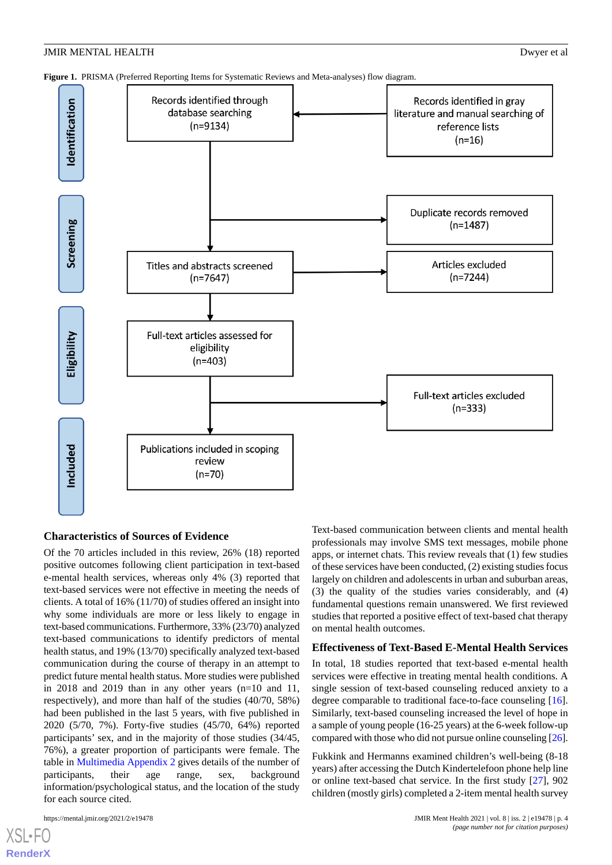<span id="page-3-0"></span>**Figure 1.** PRISMA (Preferred Reporting Items for Systematic Reviews and Meta-analyses) flow diagram.



#### **Characteristics of Sources of Evidence**

Of the 70 articles included in this review, 26% (18) reported positive outcomes following client participation in text-based e-mental health services, whereas only 4% (3) reported that text-based services were not effective in meeting the needs of clients. A total of 16% (11/70) of studies offered an insight into why some individuals are more or less likely to engage in text-based communications. Furthermore, 33% (23/70) analyzed text-based communications to identify predictors of mental health status, and 19% (13/70) specifically analyzed text-based communication during the course of therapy in an attempt to predict future mental health status. More studies were published in 2018 and 2019 than in any other years (n=10 and 11, respectively), and more than half of the studies (40/70, 58%) had been published in the last 5 years, with five published in 2020 (5/70, 7%). Forty-five studies (45/70, 64%) reported participants' sex, and in the majority of those studies (34/45, 76%), a greater proportion of participants were female. The table in [Multimedia Appendix 2](#page-8-1) gives details of the number of participants, their age range, sex, background information/psychological status, and the location of the study for each source cited.

Text-based communication between clients and mental health professionals may involve SMS text messages, mobile phone apps, or internet chats. This review reveals that (1) few studies of these services have been conducted, (2) existing studies focus largely on children and adolescents in urban and suburban areas, (3) the quality of the studies varies considerably, and (4) fundamental questions remain unanswered. We first reviewed studies that reported a positive effect of text-based chat therapy on mental health outcomes.

# **Effectiveness of Text-Based E-Mental Health Services**

In total, 18 studies reported that text-based e-mental health services were effective in treating mental health conditions. A single session of text-based counseling reduced anxiety to a degree comparable to traditional face-to-face counseling [[16\]](#page-9-14). Similarly, text-based counseling increased the level of hope in a sample of young people (16-25 years) at the 6-week follow-up compared with those who did not pursue online counseling [\[26](#page-10-1)].

Fukkink and Hermanns examined children's well-being (8-18 years) after accessing the Dutch Kindertelefoon phone help line or online text-based chat service. In the first study [\[27](#page-10-2)], 902 children (mostly girls) completed a 2-item mental health survey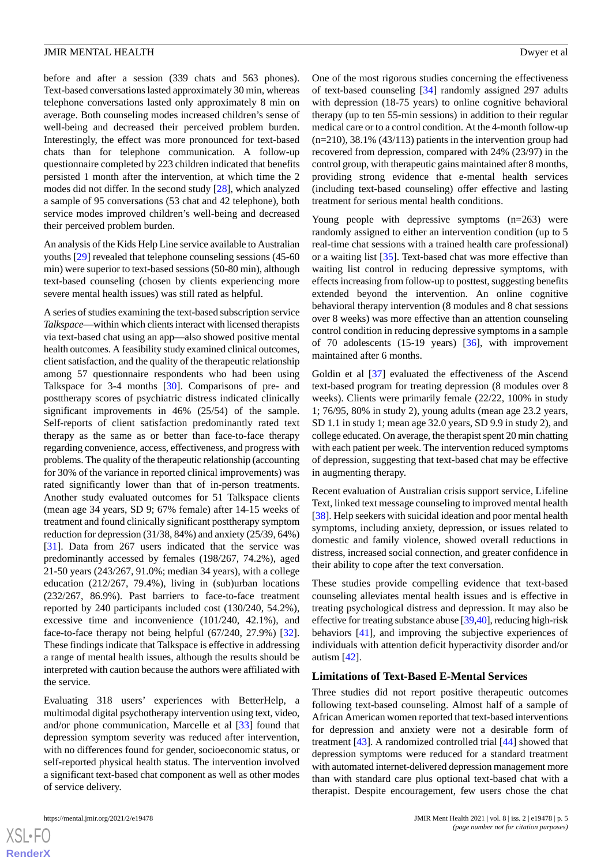before and after a session (339 chats and 563 phones). Text-based conversations lasted approximately 30 min, whereas telephone conversations lasted only approximately 8 min on average. Both counseling modes increased children's sense of well-being and decreased their perceived problem burden. Interestingly, the effect was more pronounced for text-based chats than for telephone communication. A follow-up questionnaire completed by 223 children indicated that benefits persisted 1 month after the intervention, at which time the 2 modes did not differ. In the second study [[28\]](#page-10-3), which analyzed a sample of 95 conversations (53 chat and 42 telephone), both service modes improved children's well-being and decreased their perceived problem burden.

An analysis of the Kids Help Line service available to Australian youths [[29\]](#page-10-4) revealed that telephone counseling sessions (45-60 min) were superior to text-based sessions (50-80 min), although text-based counseling (chosen by clients experiencing more severe mental health issues) was still rated as helpful.

A series of studies examining the text-based subscription service *Talkspace*—within which clients interact with licensed therapists via text-based chat using an app—also showed positive mental health outcomes. A feasibility study examined clinical outcomes, client satisfaction, and the quality of the therapeutic relationship among 57 questionnaire respondents who had been using Talkspace for 3-4 months [\[30](#page-10-5)]. Comparisons of pre- and posttherapy scores of psychiatric distress indicated clinically significant improvements in 46% (25/54) of the sample. Self-reports of client satisfaction predominantly rated text therapy as the same as or better than face-to-face therapy regarding convenience, access, effectiveness, and progress with problems. The quality of the therapeutic relationship (accounting for 30% of the variance in reported clinical improvements) was rated significantly lower than that of in-person treatments. Another study evaluated outcomes for 51 Talkspace clients (mean age 34 years, SD 9; 67% female) after 14-15 weeks of treatment and found clinically significant posttherapy symptom reduction for depression (31/38, 84%) and anxiety (25/39, 64%) [[31\]](#page-10-6). Data from 267 users indicated that the service was predominantly accessed by females (198/267, 74.2%), aged 21-50 years (243/267, 91.0%; median 34 years), with a college education (212/267, 79.4%), living in (sub)urban locations (232/267, 86.9%). Past barriers to face-to-face treatment reported by 240 participants included cost (130/240, 54.2%), excessive time and inconvenience (101/240, 42.1%), and face-to-face therapy not being helpful (67/240, 27.9%) [[32\]](#page-10-7). These findings indicate that Talkspace is effective in addressing a range of mental health issues, although the results should be interpreted with caution because the authors were affiliated with the service.

Evaluating 318 users' experiences with BetterHelp, a multimodal digital psychotherapy intervention using text, video, and/or phone communication, Marcelle et al [[33\]](#page-10-8) found that depression symptom severity was reduced after intervention, with no differences found for gender, socioeconomic status, or self-reported physical health status. The intervention involved a significant text-based chat component as well as other modes of service delivery.

 $XS$  $\cdot$ FC **[RenderX](http://www.renderx.com/)** One of the most rigorous studies concerning the effectiveness of text-based counseling [[34\]](#page-10-9) randomly assigned 297 adults with depression (18-75 years) to online cognitive behavioral therapy (up to ten 55-min sessions) in addition to their regular medical care or to a control condition. At the 4-month follow-up (n=210), 38.1% (43/113) patients in the intervention group had recovered from depression, compared with 24% (23/97) in the control group, with therapeutic gains maintained after 8 months, providing strong evidence that e-mental health services (including text-based counseling) offer effective and lasting treatment for serious mental health conditions.

Young people with depressive symptoms  $(n=263)$  were randomly assigned to either an intervention condition (up to 5 real-time chat sessions with a trained health care professional) or a waiting list [[35\]](#page-10-10). Text-based chat was more effective than waiting list control in reducing depressive symptoms, with effects increasing from follow-up to posttest, suggesting benefits extended beyond the intervention. An online cognitive behavioral therapy intervention (8 modules and 8 chat sessions over 8 weeks) was more effective than an attention counseling control condition in reducing depressive symptoms in a sample of 70 adolescents (15-19 years) [[36\]](#page-10-11), with improvement maintained after 6 months.

Goldin et al [[37\]](#page-10-12) evaluated the effectiveness of the Ascend text-based program for treating depression (8 modules over 8 weeks). Clients were primarily female (22/22, 100% in study 1; 76/95, 80% in study 2), young adults (mean age 23.2 years, SD 1.1 in study 1; mean age 32.0 years, SD 9.9 in study 2), and college educated. On average, the therapist spent 20 min chatting with each patient per week. The intervention reduced symptoms of depression, suggesting that text-based chat may be effective in augmenting therapy.

Recent evaluation of Australian crisis support service, Lifeline Text, linked text message counseling to improved mental health [[38\]](#page-10-13). Help seekers with suicidal ideation and poor mental health symptoms, including anxiety, depression, or issues related to domestic and family violence, showed overall reductions in distress, increased social connection, and greater confidence in their ability to cope after the text conversation.

These studies provide compelling evidence that text-based counseling alleviates mental health issues and is effective in treating psychological distress and depression. It may also be effective for treating substance abuse [[39](#page-10-14),[40\]](#page-10-15), reducing high-risk behaviors [[41\]](#page-10-16), and improving the subjective experiences of individuals with attention deficit hyperactivity disorder and/or autism [\[42](#page-10-17)].

#### **Limitations of Text-Based E-Mental Services**

Three studies did not report positive therapeutic outcomes following text-based counseling. Almost half of a sample of African American women reported that text-based interventions for depression and anxiety were not a desirable form of treatment [\[43](#page-10-18)]. A randomized controlled trial [\[44](#page-10-19)] showed that depression symptoms were reduced for a standard treatment with automated internet-delivered depression management more than with standard care plus optional text-based chat with a therapist. Despite encouragement, few users chose the chat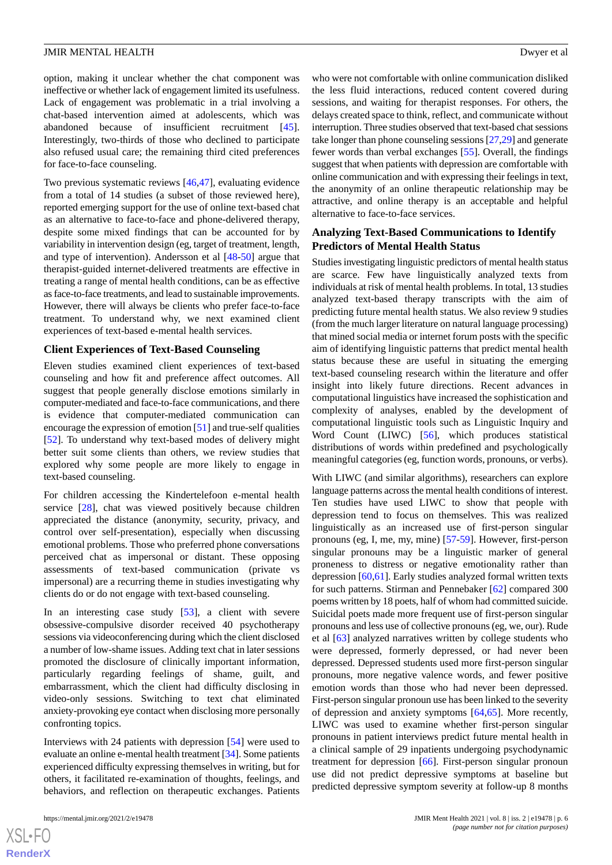option, making it unclear whether the chat component was ineffective or whether lack of engagement limited its usefulness. Lack of engagement was problematic in a trial involving a chat-based intervention aimed at adolescents, which was abandoned because of insufficient recruitment [[45\]](#page-11-0). Interestingly, two-thirds of those who declined to participate also refused usual care; the remaining third cited preferences for face-to-face counseling.

Two previous systematic reviews [\[46](#page-11-1),[47\]](#page-11-2), evaluating evidence from a total of 14 studies (a subset of those reviewed here), reported emerging support for the use of online text-based chat as an alternative to face-to-face and phone-delivered therapy, despite some mixed findings that can be accounted for by variability in intervention design (eg, target of treatment, length, and type of intervention). Andersson et al [\[48](#page-11-3)[-50](#page-11-4)] argue that therapist-guided internet-delivered treatments are effective in treating a range of mental health conditions, can be as effective as face-to-face treatments, and lead to sustainable improvements. However, there will always be clients who prefer face-to-face treatment. To understand why, we next examined client experiences of text-based e-mental health services.

#### **Client Experiences of Text-Based Counseling**

Eleven studies examined client experiences of text-based counseling and how fit and preference affect outcomes. All suggest that people generally disclose emotions similarly in computer-mediated and face-to-face communications, and there is evidence that computer-mediated communication can encourage the expression of emotion [[51\]](#page-11-5) and true-self qualities [[52\]](#page-11-6). To understand why text-based modes of delivery might better suit some clients than others, we review studies that explored why some people are more likely to engage in text-based counseling.

For children accessing the Kindertelefoon e-mental health service [[28\]](#page-10-3), chat was viewed positively because children appreciated the distance (anonymity, security, privacy, and control over self-presentation), especially when discussing emotional problems. Those who preferred phone conversations perceived chat as impersonal or distant. These opposing assessments of text-based communication (private vs impersonal) are a recurring theme in studies investigating why clients do or do not engage with text-based counseling.

In an interesting case study [[53\]](#page-11-7), a client with severe obsessive-compulsive disorder received 40 psychotherapy sessions via videoconferencing during which the client disclosed a number of low-shame issues. Adding text chat in later sessions promoted the disclosure of clinically important information, particularly regarding feelings of shame, guilt, and embarrassment, which the client had difficulty disclosing in video-only sessions. Switching to text chat eliminated anxiety-provoking eye contact when disclosing more personally confronting topics.

Interviews with 24 patients with depression [\[54](#page-11-8)] were used to evaluate an online e-mental health treatment [\[34\]](#page-10-9). Some patients experienced difficulty expressing themselves in writing, but for others, it facilitated re-examination of thoughts, feelings, and behaviors, and reflection on therapeutic exchanges. Patients

who were not comfortable with online communication disliked the less fluid interactions, reduced content covered during sessions, and waiting for therapist responses. For others, the delays created space to think, reflect, and communicate without interruption. Three studies observed that text-based chat sessions take longer than phone counseling sessions [[27,](#page-10-2)[29](#page-10-4)] and generate fewer words than verbal exchanges [\[55](#page-11-9)]. Overall, the findings suggest that when patients with depression are comfortable with online communication and with expressing their feelings in text, the anonymity of an online therapeutic relationship may be attractive, and online therapy is an acceptable and helpful alternative to face-to-face services.

# **Analyzing Text-Based Communications to Identify Predictors of Mental Health Status**

Studies investigating linguistic predictors of mental health status are scarce. Few have linguistically analyzed texts from individuals at risk of mental health problems. In total, 13 studies analyzed text-based therapy transcripts with the aim of predicting future mental health status. We also review 9 studies (from the much larger literature on natural language processing) that mined social media or internet forum posts with the specific aim of identifying linguistic patterns that predict mental health status because these are useful in situating the emerging text-based counseling research within the literature and offer insight into likely future directions. Recent advances in computational linguistics have increased the sophistication and complexity of analyses, enabled by the development of computational linguistic tools such as Linguistic Inquiry and Word Count (LIWC) [\[56](#page-11-10)], which produces statistical distributions of words within predefined and psychologically meaningful categories (eg, function words, pronouns, or verbs).

With LIWC (and similar algorithms), researchers can explore language patterns across the mental health conditions of interest. Ten studies have used LIWC to show that people with depression tend to focus on themselves. This was realized linguistically as an increased use of first-person singular pronouns (eg, I, me, my, mine) [\[57](#page-11-11)-[59\]](#page-11-12). However, first-person singular pronouns may be a linguistic marker of general proneness to distress or negative emotionality rather than depression [\[60](#page-11-13)[,61](#page-11-14)]. Early studies analyzed formal written texts for such patterns. Stirman and Pennebaker [[62\]](#page-11-15) compared 300 poems written by 18 poets, half of whom had committed suicide. Suicidal poets made more frequent use of first-person singular pronouns and less use of collective pronouns (eg, we, our). Rude et al [\[63](#page-11-16)] analyzed narratives written by college students who were depressed, formerly depressed, or had never been depressed. Depressed students used more first-person singular pronouns, more negative valence words, and fewer positive emotion words than those who had never been depressed. First-person singular pronoun use has been linked to the severity of depression and anxiety symptoms [\[64](#page-11-17),[65\]](#page-11-18). More recently, LIWC was used to examine whether first-person singular pronouns in patient interviews predict future mental health in a clinical sample of 29 inpatients undergoing psychodynamic treatment for depression [\[66](#page-11-19)]. First-person singular pronoun use did not predict depressive symptoms at baseline but predicted depressive symptom severity at follow-up 8 months

```
XS\cdotFC
RenderX
```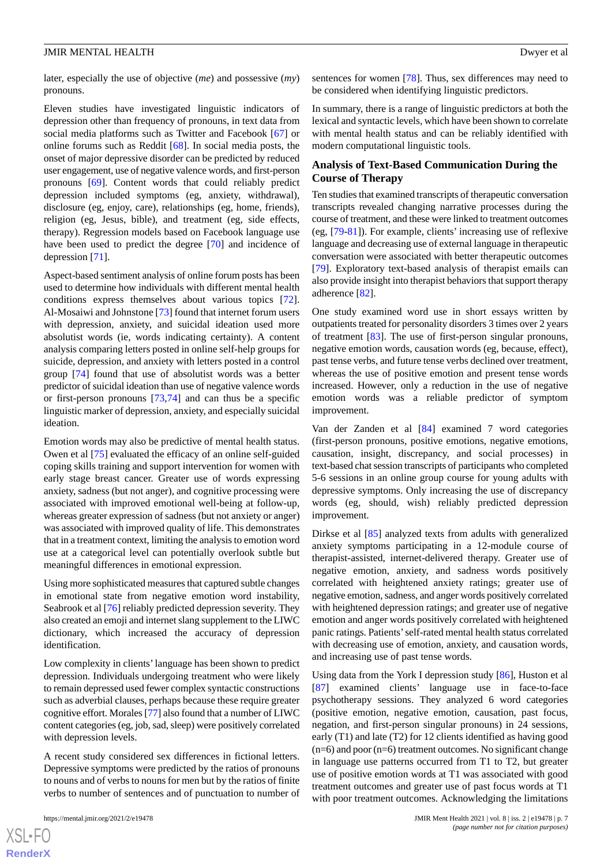later, especially the use of objective (*me*) and possessive (*my*) pronouns.

Eleven studies have investigated linguistic indicators of depression other than frequency of pronouns, in text data from social media platforms such as Twitter and Facebook [[67\]](#page-11-20) or online forums such as Reddit [\[68](#page-11-21)]. In social media posts, the onset of major depressive disorder can be predicted by reduced user engagement, use of negative valence words, and first-person pronouns [[69\]](#page-12-0). Content words that could reliably predict depression included symptoms (eg, anxiety, withdrawal), disclosure (eg, enjoy, care), relationships (eg, home, friends), religion (eg, Jesus, bible), and treatment (eg, side effects, therapy). Regression models based on Facebook language use have been used to predict the degree [[70\]](#page-12-1) and incidence of depression [\[71](#page-12-2)].

Aspect-based sentiment analysis of online forum posts has been used to determine how individuals with different mental health conditions express themselves about various topics [[72\]](#page-12-3). Al-Mosaiwi and Johnstone [[73\]](#page-12-4) found that internet forum users with depression, anxiety, and suicidal ideation used more absolutist words (ie, words indicating certainty). A content analysis comparing letters posted in online self-help groups for suicide, depression, and anxiety with letters posted in a control group [[74\]](#page-12-5) found that use of absolutist words was a better predictor of suicidal ideation than use of negative valence words or first-person pronouns [\[73](#page-12-4),[74\]](#page-12-5) and can thus be a specific linguistic marker of depression, anxiety, and especially suicidal ideation.

Emotion words may also be predictive of mental health status. Owen et al [[75\]](#page-12-6) evaluated the efficacy of an online self-guided coping skills training and support intervention for women with early stage breast cancer. Greater use of words expressing anxiety, sadness (but not anger), and cognitive processing were associated with improved emotional well-being at follow-up, whereas greater expression of sadness (but not anxiety or anger) was associated with improved quality of life. This demonstrates that in a treatment context, limiting the analysis to emotion word use at a categorical level can potentially overlook subtle but meaningful differences in emotional expression.

Using more sophisticated measures that captured subtle changes in emotional state from negative emotion word instability, Seabrook et al [\[76](#page-12-7)] reliably predicted depression severity. They also created an emoji and internet slang supplement to the LIWC dictionary, which increased the accuracy of depression identification.

Low complexity in clients'language has been shown to predict depression. Individuals undergoing treatment who were likely to remain depressed used fewer complex syntactic constructions such as adverbial clauses, perhaps because these require greater cognitive effort. Morales [[77\]](#page-12-8) also found that a number of LIWC content categories (eg, job, sad, sleep) were positively correlated with depression levels.

A recent study considered sex differences in fictional letters. Depressive symptoms were predicted by the ratios of pronouns to nouns and of verbs to nouns for men but by the ratios of finite verbs to number of sentences and of punctuation to number of

sentences for women [\[78](#page-12-9)]. Thus, sex differences may need to be considered when identifying linguistic predictors.

In summary, there is a range of linguistic predictors at both the lexical and syntactic levels, which have been shown to correlate with mental health status and can be reliably identified with modern computational linguistic tools.

# **Analysis of Text-Based Communication During the Course of Therapy**

Ten studies that examined transcripts of therapeutic conversation transcripts revealed changing narrative processes during the course of treatment, and these were linked to treatment outcomes (eg, [[79-](#page-12-10)[81](#page-12-11)]). For example, clients' increasing use of reflexive language and decreasing use of external language in therapeutic conversation were associated with better therapeutic outcomes [[79\]](#page-12-10). Exploratory text-based analysis of therapist emails can also provide insight into therapist behaviors that support therapy adherence [[82\]](#page-12-12).

One study examined word use in short essays written by outpatients treated for personality disorders 3 times over 2 years of treatment [\[83](#page-12-13)]. The use of first-person singular pronouns, negative emotion words, causation words (eg, because, effect), past tense verbs, and future tense verbs declined over treatment, whereas the use of positive emotion and present tense words increased. However, only a reduction in the use of negative emotion words was a reliable predictor of symptom improvement.

Van der Zanden et al [\[84](#page-12-14)] examined 7 word categories (first-person pronouns, positive emotions, negative emotions, causation, insight, discrepancy, and social processes) in text-based chat session transcripts of participants who completed 5-6 sessions in an online group course for young adults with depressive symptoms. Only increasing the use of discrepancy words (eg, should, wish) reliably predicted depression improvement.

Dirkse et al [\[85](#page-12-15)] analyzed texts from adults with generalized anxiety symptoms participating in a 12-module course of therapist-assisted, internet-delivered therapy. Greater use of negative emotion, anxiety, and sadness words positively correlated with heightened anxiety ratings; greater use of negative emotion, sadness, and anger words positively correlated with heightened depression ratings; and greater use of negative emotion and anger words positively correlated with heightened panic ratings. Patients'self-rated mental health status correlated with decreasing use of emotion, anxiety, and causation words, and increasing use of past tense words.

Using data from the York I depression study [\[86](#page-12-16)], Huston et al [[87\]](#page-12-17) examined clients' language use in face-to-face psychotherapy sessions. They analyzed 6 word categories (positive emotion, negative emotion, causation, past focus, negation, and first-person singular pronouns) in 24 sessions, early (T1) and late (T2) for 12 clients identified as having good  $(n=6)$  and poor  $(n=6)$  treatment outcomes. No significant change in language use patterns occurred from T1 to T2, but greater use of positive emotion words at T1 was associated with good treatment outcomes and greater use of past focus words at T1 with poor treatment outcomes. Acknowledging the limitations

 $XS$  $\cdot$ FC **[RenderX](http://www.renderx.com/)**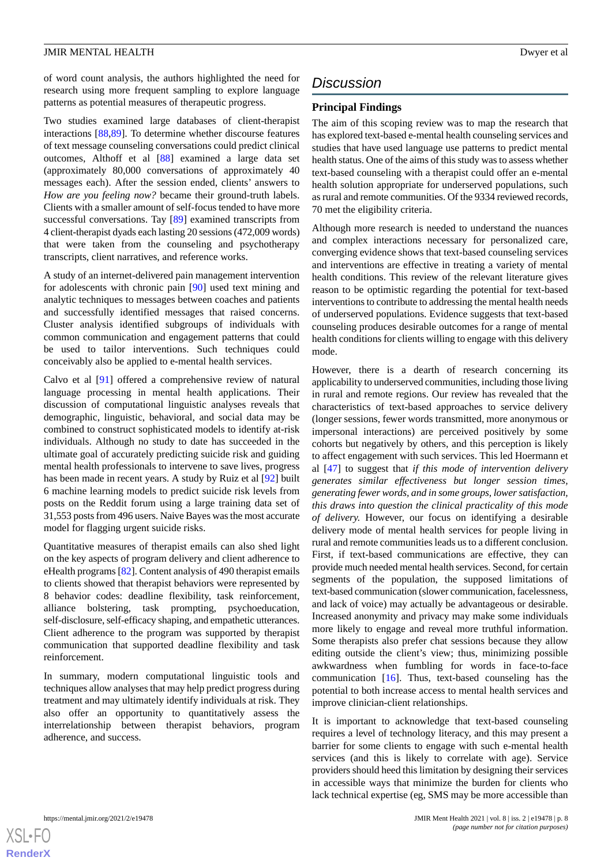of word count analysis, the authors highlighted the need for research using more frequent sampling to explore language patterns as potential measures of therapeutic progress.

Two studies examined large databases of client-therapist interactions [[88,](#page-12-18)[89](#page-12-19)]. To determine whether discourse features of text message counseling conversations could predict clinical outcomes, Althoff et al [[88\]](#page-12-18) examined a large data set (approximately 80,000 conversations of approximately 40 messages each). After the session ended, clients' answers to *How are you feeling now?* became their ground-truth labels. Clients with a smaller amount of self-focus tended to have more successful conversations. Tay [[89\]](#page-12-19) examined transcripts from 4 client-therapist dyads each lasting 20 sessions (472,009 words) that were taken from the counseling and psychotherapy transcripts, client narratives, and reference works.

A study of an internet-delivered pain management intervention for adolescents with chronic pain [\[90](#page-12-20)] used text mining and analytic techniques to messages between coaches and patients and successfully identified messages that raised concerns. Cluster analysis identified subgroups of individuals with common communication and engagement patterns that could be used to tailor interventions. Such techniques could conceivably also be applied to e-mental health services.

Calvo et al [[91\]](#page-12-21) offered a comprehensive review of natural language processing in mental health applications. Their discussion of computational linguistic analyses reveals that demographic, linguistic, behavioral, and social data may be combined to construct sophisticated models to identify at-risk individuals. Although no study to date has succeeded in the ultimate goal of accurately predicting suicide risk and guiding mental health professionals to intervene to save lives, progress has been made in recent years. A study by Ruiz et al [[92\]](#page-13-1) built 6 machine learning models to predict suicide risk levels from posts on the Reddit forum using a large training data set of 31,553 posts from 496 users. Naive Bayes was the most accurate model for flagging urgent suicide risks.

Quantitative measures of therapist emails can also shed light on the key aspects of program delivery and client adherence to eHealth programs [[82\]](#page-12-12). Content analysis of 490 therapist emails to clients showed that therapist behaviors were represented by 8 behavior codes: deadline flexibility, task reinforcement, alliance bolstering, task prompting, psychoeducation, self-disclosure, self-efficacy shaping, and empathetic utterances. Client adherence to the program was supported by therapist communication that supported deadline flexibility and task reinforcement.

In summary, modern computational linguistic tools and techniques allow analyses that may help predict progress during treatment and may ultimately identify individuals at risk. They also offer an opportunity to quantitatively assess the interrelationship between therapist behaviors, program adherence, and success.

# *Discussion*

# **Principal Findings**

The aim of this scoping review was to map the research that has explored text-based e-mental health counseling services and studies that have used language use patterns to predict mental health status. One of the aims of this study was to assess whether text-based counseling with a therapist could offer an e-mental health solution appropriate for underserved populations, such as rural and remote communities. Of the 9334 reviewed records, 70 met the eligibility criteria.

Although more research is needed to understand the nuances and complex interactions necessary for personalized care, converging evidence shows that text-based counseling services and interventions are effective in treating a variety of mental health conditions. This review of the relevant literature gives reason to be optimistic regarding the potential for text-based interventions to contribute to addressing the mental health needs of underserved populations. Evidence suggests that text-based counseling produces desirable outcomes for a range of mental health conditions for clients willing to engage with this delivery mode.

However, there is a dearth of research concerning its applicability to underserved communities, including those living in rural and remote regions. Our review has revealed that the characteristics of text-based approaches to service delivery (longer sessions, fewer words transmitted, more anonymous or impersonal interactions) are perceived positively by some cohorts but negatively by others, and this perception is likely to affect engagement with such services. This led Hoermann et al [\[47](#page-11-2)] to suggest that *if this mode of intervention delivery generates similar effectiveness but longer session times, generating fewer words, and in some groups, lower satisfaction, this draws into question the clinical practicality of this mode of delivery.* However, our focus on identifying a desirable delivery mode of mental health services for people living in rural and remote communities leads us to a different conclusion. First, if text-based communications are effective, they can provide much needed mental health services. Second, for certain segments of the population, the supposed limitations of text-based communication (slower communication, facelessness, and lack of voice) may actually be advantageous or desirable. Increased anonymity and privacy may make some individuals more likely to engage and reveal more truthful information. Some therapists also prefer chat sessions because they allow editing outside the client's view; thus, minimizing possible awkwardness when fumbling for words in face-to-face communication [\[16](#page-9-14)]. Thus, text-based counseling has the potential to both increase access to mental health services and improve clinician-client relationships.

It is important to acknowledge that text-based counseling requires a level of technology literacy, and this may present a barrier for some clients to engage with such e-mental health services (and this is likely to correlate with age). Service providers should heed this limitation by designing their services in accessible ways that minimize the burden for clients who lack technical expertise (eg, SMS may be more accessible than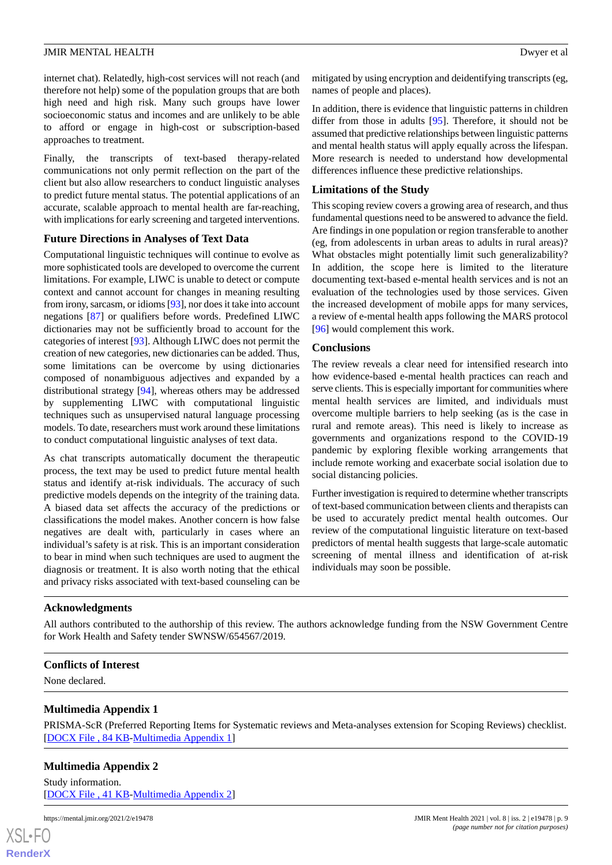internet chat). Relatedly, high-cost services will not reach (and therefore not help) some of the population groups that are both high need and high risk. Many such groups have lower socioeconomic status and incomes and are unlikely to be able to afford or engage in high-cost or subscription-based approaches to treatment.

Finally, the transcripts of text-based therapy-related communications not only permit reflection on the part of the client but also allow researchers to conduct linguistic analyses to predict future mental status. The potential applications of an accurate, scalable approach to mental health are far-reaching, with implications for early screening and targeted interventions.

# **Future Directions in Analyses of Text Data**

Computational linguistic techniques will continue to evolve as more sophisticated tools are developed to overcome the current limitations. For example, LIWC is unable to detect or compute context and cannot account for changes in meaning resulting from irony, sarcasm, or idioms [[93\]](#page-13-2), nor does it take into account negations [[87\]](#page-12-17) or qualifiers before words. Predefined LIWC dictionaries may not be sufficiently broad to account for the categories of interest [\[93](#page-13-2)]. Although LIWC does not permit the creation of new categories, new dictionaries can be added. Thus, some limitations can be overcome by using dictionaries composed of nonambiguous adjectives and expanded by a distributional strategy [[94\]](#page-13-3), whereas others may be addressed by supplementing LIWC with computational linguistic techniques such as unsupervised natural language processing models. To date, researchers must work around these limitations to conduct computational linguistic analyses of text data.

As chat transcripts automatically document the therapeutic process, the text may be used to predict future mental health status and identify at-risk individuals. The accuracy of such predictive models depends on the integrity of the training data. A biased data set affects the accuracy of the predictions or classifications the model makes. Another concern is how false negatives are dealt with, particularly in cases where an individual's safety is at risk. This is an important consideration to bear in mind when such techniques are used to augment the diagnosis or treatment. It is also worth noting that the ethical and privacy risks associated with text-based counseling can be

mitigated by using encryption and deidentifying transcripts (eg, names of people and places).

In addition, there is evidence that linguistic patterns in children differ from those in adults [[95\]](#page-13-0). Therefore, it should not be assumed that predictive relationships between linguistic patterns and mental health status will apply equally across the lifespan. More research is needed to understand how developmental differences influence these predictive relationships.

# **Limitations of the Study**

This scoping review covers a growing area of research, and thus fundamental questions need to be answered to advance the field. Are findings in one population or region transferable to another (eg, from adolescents in urban areas to adults in rural areas)? What obstacles might potentially limit such generalizability? In addition, the scope here is limited to the literature documenting text-based e-mental health services and is not an evaluation of the technologies used by those services. Given the increased development of mobile apps for many services, a review of e-mental health apps following the MARS protocol [[96\]](#page-13-4) would complement this work.

#### **Conclusions**

The review reveals a clear need for intensified research into how evidence-based e-mental health practices can reach and serve clients. This is especially important for communities where mental health services are limited, and individuals must overcome multiple barriers to help seeking (as is the case in rural and remote areas). This need is likely to increase as governments and organizations respond to the COVID-19 pandemic by exploring flexible working arrangements that include remote working and exacerbate social isolation due to social distancing policies.

Further investigation is required to determine whether transcripts of text-based communication between clients and therapists can be used to accurately predict mental health outcomes. Our review of the computational linguistic literature on text-based predictors of mental health suggests that large-scale automatic screening of mental illness and identification of at-risk individuals may soon be possible.

# **Acknowledgments**

<span id="page-8-0"></span>All authors contributed to the authorship of this review. The authors acknowledge funding from the NSW Government Centre for Work Health and Safety tender SWNSW/654567/2019.

# **Conflicts of Interest**

<span id="page-8-1"></span>None declared.

# **Multimedia Appendix 1**

PRISMA-ScR (Preferred Reporting Items for Systematic reviews and Meta-analyses extension for Scoping Reviews) checklist. [[DOCX File , 84 KB](https://jmir.org/api/download?alt_name=mental_v8i2e19478_app1.docx&filename=ce6b01d9b64e304215b61bb76d8c2288.docx)-[Multimedia Appendix 1\]](https://jmir.org/api/download?alt_name=mental_v8i2e19478_app1.docx&filename=ce6b01d9b64e304215b61bb76d8c2288.docx)

# **Multimedia Appendix 2**

Study information. [[DOCX File , 41 KB](https://jmir.org/api/download?alt_name=mental_v8i2e19478_app2.docx&filename=67b04b0f9949ff28544117f5b7bf313e.docx)-[Multimedia Appendix 2\]](https://jmir.org/api/download?alt_name=mental_v8i2e19478_app2.docx&filename=67b04b0f9949ff28544117f5b7bf313e.docx)

https://mental.jmir.org/2021/2/e19478 JMIR Ment Health 2021 | vol. 8 | iss. 2 | e19478 | p. 9

 $XS$  $\cdot$ FC **[RenderX](http://www.renderx.com/)**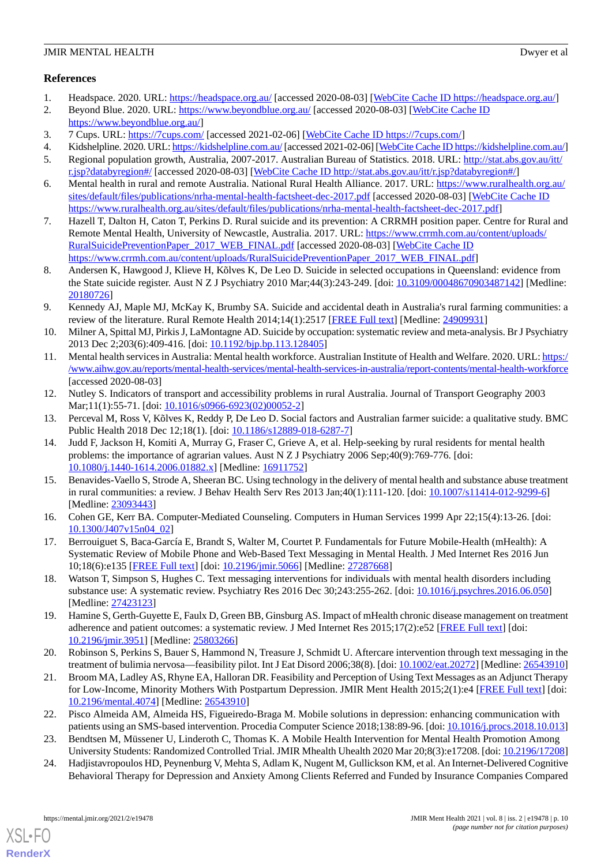# **References**

- <span id="page-9-1"></span><span id="page-9-0"></span>1. Headspace. 2020. URL:<https://headspace.org.au/> [accessed 2020-08-03] [[WebCite Cache ID https://headspace.org.au/](http://www.webcitation.org/

                                            https://headspace.org.au/)]
- 2. Beyond Blue. 2020. URL:<https://www.beyondblue.org.au/> [accessed 2020-08-03] [[WebCite Cache ID](http://www.webcitation.org/

                             https://www.beyondblue.org.au/) [https://www.beyondblue.org.au/\]](http://www.webcitation.org/

                                            https://www.beyondblue.org.au/)
- <span id="page-9-3"></span><span id="page-9-2"></span>3. 7 Cups. URL: <https://7cups.com/> [accessed 2021-02-06] [[WebCite Cache ID https://7cups.com/](http://www.webcitation.org/

                                            https://7cups.com/)]
- <span id="page-9-4"></span>4. Kidshelpline. 2020. URL:<https://kidshelpline.com.au/> [accessed 2021-02-06] [[WebCite Cache ID https://kidshelpline.com.au/\]](http://www.webcitation.org/

                                            https://kidshelpline.com.au/)
- <span id="page-9-5"></span>5. Regional population growth, Australia, 2007-2017. Australian Bureau of Statistics. 2018. URL: [http://stat.abs.gov.au/itt/](http://stat.abs.gov.au/itt/r.jsp?databyregion#/) [r.jsp?databyregion#/](http://stat.abs.gov.au/itt/r.jsp?databyregion#/) [accessed 2020-08-03] [[WebCite Cache ID http://stat.abs.gov.au/itt/r.jsp?databyregion#/](http://www.webcitation.org/

                                            http://stat.abs.gov.au/itt/r.jsp?databyregion#/)]
- <span id="page-9-6"></span>6. Mental health in rural and remote Australia. National Rural Health Alliance. 2017. URL: [https://www.ruralhealth.org.au/](https://www.ruralhealth.org.au/sites/default/files/publications/nrha-mental-health-factsheet-dec-2017.pdf) [sites/default/files/publications/nrha-mental-health-factsheet-dec-2017.pdf](https://www.ruralhealth.org.au/sites/default/files/publications/nrha-mental-health-factsheet-dec-2017.pdf) [accessed 2020-08-03] [\[WebCite Cache ID](http://www.webcitation.org/

                                            https://www.ruralhealth.org.au/sites/default/files/publications/nrha-mental-health-factsheet-dec-2017.pdf) [https://www.ruralhealth.org.au/sites/default/files/publications/nrha-mental-health-factsheet-dec-2017.pdf](http://www.webcitation.org/

                                            https://www.ruralhealth.org.au/sites/default/files/publications/nrha-mental-health-factsheet-dec-2017.pdf)]
- <span id="page-9-7"></span>7. Hazell T, Dalton H, Caton T, Perkins D. Rural suicide and its prevention: A CRRMH position paper. Centre for Rural and Remote Mental Health, University of Newcastle, Australia. 2017. URL: [https://www.crrmh.com.au/content/uploads/](https://www.crrmh.com.au/content/uploads/RuralSuicidePreventionPaper_2017_WEB_FINAL.pdf) [RuralSuicidePreventionPaper\\_2017\\_WEB\\_FINAL.pdf](https://www.crrmh.com.au/content/uploads/RuralSuicidePreventionPaper_2017_WEB_FINAL.pdf) [accessed 2020-08-03] [[WebCite Cache ID](http://www.webcitation.org/

                                            https://www.crrmh.com.au/content/uploads/RuralSuicidePreventionPaper_2017_WEB_FINAL.pdf) [https://www.crrmh.com.au/content/uploads/RuralSuicidePreventionPaper\\_2017\\_WEB\\_FINAL.pdf](http://www.webcitation.org/

                                            https://www.crrmh.com.au/content/uploads/RuralSuicidePreventionPaper_2017_WEB_FINAL.pdf)]
- 8. Andersen K, Hawgood J, Klieve H, Kõlves K, De Leo D. Suicide in selected occupations in Queensland: evidence from the State suicide register. Aust N Z J Psychiatry 2010 Mar;44(3):243-249. [doi: [10.3109/00048670903487142](http://dx.doi.org/10.3109/00048670903487142)] [Medline: [20180726](http://www.ncbi.nlm.nih.gov/entrez/query.fcgi?cmd=Retrieve&db=PubMed&list_uids=20180726&dopt=Abstract)]
- <span id="page-9-8"></span>9. Kennedy AJ, Maple MJ, McKay K, Brumby SA. Suicide and accidental death in Australia's rural farming communities: a review of the literature. Rural Remote Health 2014;14(1):2517 [[FREE Full text](http://www.rrh.org.au/articles/subviewnew.asp?ArticleID=2517)] [Medline: [24909931](http://www.ncbi.nlm.nih.gov/entrez/query.fcgi?cmd=Retrieve&db=PubMed&list_uids=24909931&dopt=Abstract)]
- <span id="page-9-9"></span>10. Milner A, Spittal MJ, Pirkis J, LaMontagne AD. Suicide by occupation: systematic review and meta-analysis. Br J Psychiatry 2013 Dec 2;203(6):409-416. [doi: [10.1192/bjp.bp.113.128405](http://dx.doi.org/10.1192/bjp.bp.113.128405)]
- <span id="page-9-10"></span>11. Mental health services in Australia: Mental health workforce. Australian Institute of Health and Welfare. 2020. URL: [https:/](https://www.aihw.gov.au/reports/mental-health-services/mental-health-services-in-australia/report-contents/mental-health-workforce) [/www.aihw.gov.au/reports/mental-health-services/mental-health-services-in-australia/report-contents/mental-health-workforce](https://www.aihw.gov.au/reports/mental-health-services/mental-health-services-in-australia/report-contents/mental-health-workforce) [accessed 2020-08-03]
- <span id="page-9-12"></span><span id="page-9-11"></span>12. Nutley S. Indicators of transport and accessibility problems in rural Australia. Journal of Transport Geography 2003 Mar;11(1):55-71. [doi: [10.1016/s0966-6923\(02\)00052-2\]](http://dx.doi.org/10.1016/s0966-6923(02)00052-2)
- 13. Perceval M, Ross V, Kõlves K, Reddy P, De Leo D. Social factors and Australian farmer suicide: a qualitative study. BMC Public Health 2018 Dec 12;18(1). [doi: [10.1186/s12889-018-6287-7\]](http://dx.doi.org/10.1186/s12889-018-6287-7)
- <span id="page-9-13"></span>14. Judd F, Jackson H, Komiti A, Murray G, Fraser C, Grieve A, et al. Help-seeking by rural residents for mental health problems: the importance of agrarian values. Aust N Z J Psychiatry 2006 Sep;40(9):769-776. [doi: [10.1080/j.1440-1614.2006.01882.x\]](http://dx.doi.org/10.1080/j.1440-1614.2006.01882.x) [Medline: [16911752\]](http://www.ncbi.nlm.nih.gov/entrez/query.fcgi?cmd=Retrieve&db=PubMed&list_uids=16911752&dopt=Abstract)
- <span id="page-9-15"></span><span id="page-9-14"></span>15. Benavides-Vaello S, Strode A, Sheeran BC. Using technology in the delivery of mental health and substance abuse treatment in rural communities: a review. J Behav Health Serv Res 2013 Jan;40(1):111-120. [doi: [10.1007/s11414-012-9299-6\]](http://dx.doi.org/10.1007/s11414-012-9299-6) [Medline: [23093443](http://www.ncbi.nlm.nih.gov/entrez/query.fcgi?cmd=Retrieve&db=PubMed&list_uids=23093443&dopt=Abstract)]
- <span id="page-9-16"></span>16. Cohen GE, Kerr BA. Computer-Mediated Counseling. Computers in Human Services 1999 Apr 22;15(4):13-26. [doi: [10.1300/J407v15n04\\_02\]](http://dx.doi.org/10.1300/J407v15n04_02)
- <span id="page-9-17"></span>17. Berrouiguet S, Baca-García E, Brandt S, Walter M, Courtet P. Fundamentals for Future Mobile-Health (mHealth): A Systematic Review of Mobile Phone and Web-Based Text Messaging in Mental Health. J Med Internet Res 2016 Jun 10;18(6):e135 [\[FREE Full text](http://www.jmir.org/2016/6/e135/)] [doi: [10.2196/jmir.5066](http://dx.doi.org/10.2196/jmir.5066)] [Medline: [27287668](http://www.ncbi.nlm.nih.gov/entrez/query.fcgi?cmd=Retrieve&db=PubMed&list_uids=27287668&dopt=Abstract)]
- <span id="page-9-18"></span>18. Watson T, Simpson S, Hughes C. Text messaging interventions for individuals with mental health disorders including substance use: A systematic review. Psychiatry Res 2016 Dec 30;243:255-262. [doi: [10.1016/j.psychres.2016.06.050\]](http://dx.doi.org/10.1016/j.psychres.2016.06.050) [Medline: [27423123](http://www.ncbi.nlm.nih.gov/entrez/query.fcgi?cmd=Retrieve&db=PubMed&list_uids=27423123&dopt=Abstract)]
- <span id="page-9-19"></span>19. Hamine S, Gerth-Guyette E, Faulx D, Green BB, Ginsburg AS. Impact of mHealth chronic disease management on treatment adherence and patient outcomes: a systematic review. J Med Internet Res 2015;17(2):e52 [\[FREE Full text\]](http://www.jmir.org/2015/2/e52/) [doi: [10.2196/jmir.3951](http://dx.doi.org/10.2196/jmir.3951)] [Medline: [25803266](http://www.ncbi.nlm.nih.gov/entrez/query.fcgi?cmd=Retrieve&db=PubMed&list_uids=25803266&dopt=Abstract)]
- <span id="page-9-20"></span>20. Robinson S, Perkins S, Bauer S, Hammond N, Treasure J, Schmidt U. Aftercare intervention through text messaging in the treatment of bulimia nervosa—feasibility pilot. Int J Eat Disord 2006;38(8). [doi: [10.1002/eat.20272\]](http://dx.doi.org/10.1002/eat.20272) [Medline: [26543910](http://www.ncbi.nlm.nih.gov/entrez/query.fcgi?cmd=Retrieve&db=PubMed&list_uids=26543910&dopt=Abstract)]
- <span id="page-9-21"></span>21. Broom MA, Ladley AS, Rhyne EA, Halloran DR. Feasibility and Perception of Using Text Messages as an Adjunct Therapy for Low-Income, Minority Mothers With Postpartum Depression. JMIR Ment Health 2015;2(1):e4 [[FREE Full text](http://mental.jmir.org/2015/1/e4/)] [doi: [10.2196/mental.4074\]](http://dx.doi.org/10.2196/mental.4074) [Medline: [26543910](http://www.ncbi.nlm.nih.gov/entrez/query.fcgi?cmd=Retrieve&db=PubMed&list_uids=26543910&dopt=Abstract)]
- 22. Pisco Almeida AM, Almeida HS, Figueiredo-Braga M. Mobile solutions in depression: enhancing communication with patients using an SMS-based intervention. Procedia Computer Science 2018;138:89-96. [doi: [10.1016/j.procs.2018.10.013](http://dx.doi.org/10.1016/j.procs.2018.10.013)]
- 23. Bendtsen M, Müssener U, Linderoth C, Thomas K. A Mobile Health Intervention for Mental Health Promotion Among University Students: Randomized Controlled Trial. JMIR Mhealth Uhealth 2020 Mar 20;8(3):e17208. [doi: [10.2196/17208\]](http://dx.doi.org/10.2196/17208)
- 24. Hadjistavropoulos HD, Peynenburg V, Mehta S, Adlam K, Nugent M, Gullickson KM, et al. An Internet-Delivered Cognitive Behavioral Therapy for Depression and Anxiety Among Clients Referred and Funded by Insurance Companies Compared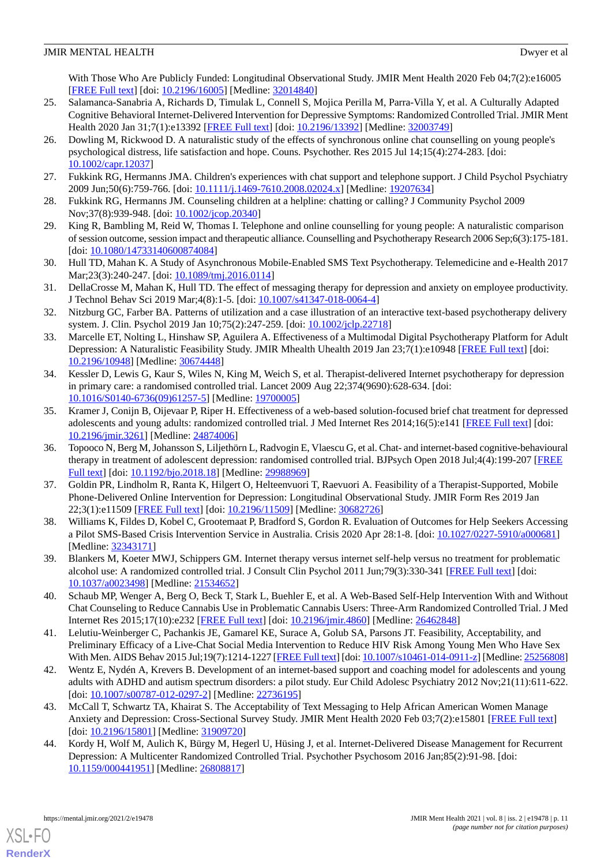With Those Who Are Publicly Funded: Longitudinal Observational Study. JMIR Ment Health 2020 Feb 04;7(2):e16005 [[FREE Full text](https://mental.jmir.org/2020/2/e16005/)] [doi: [10.2196/16005\]](http://dx.doi.org/10.2196/16005) [Medline: [32014840\]](http://www.ncbi.nlm.nih.gov/entrez/query.fcgi?cmd=Retrieve&db=PubMed&list_uids=32014840&dopt=Abstract)

- <span id="page-10-0"></span>25. Salamanca-Sanabria A, Richards D, Timulak L, Connell S, Mojica Perilla M, Parra-Villa Y, et al. A Culturally Adapted Cognitive Behavioral Internet-Delivered Intervention for Depressive Symptoms: Randomized Controlled Trial. JMIR Ment Health 2020 Jan 31;7(1):e13392 [[FREE Full text\]](https://mental.jmir.org/2020/1/e13392/) [doi: [10.2196/13392](http://dx.doi.org/10.2196/13392)] [Medline: [32003749](http://www.ncbi.nlm.nih.gov/entrez/query.fcgi?cmd=Retrieve&db=PubMed&list_uids=32003749&dopt=Abstract)]
- <span id="page-10-1"></span>26. Dowling M, Rickwood D. A naturalistic study of the effects of synchronous online chat counselling on young people's psychological distress, life satisfaction and hope. Couns. Psychother. Res 2015 Jul 14;15(4):274-283. [doi: [10.1002/capr.12037\]](http://dx.doi.org/10.1002/capr.12037)
- <span id="page-10-3"></span><span id="page-10-2"></span>27. Fukkink RG, Hermanns JMA. Children's experiences with chat support and telephone support. J Child Psychol Psychiatry 2009 Jun;50(6):759-766. [doi: [10.1111/j.1469-7610.2008.02024.x](http://dx.doi.org/10.1111/j.1469-7610.2008.02024.x)] [Medline: [19207634](http://www.ncbi.nlm.nih.gov/entrez/query.fcgi?cmd=Retrieve&db=PubMed&list_uids=19207634&dopt=Abstract)]
- <span id="page-10-4"></span>28. Fukkink RG, Hermanns JM. Counseling children at a helpline: chatting or calling? J Community Psychol 2009 Nov;37(8):939-948. [doi: [10.1002/jcop.20340](http://dx.doi.org/10.1002/jcop.20340)]
- <span id="page-10-5"></span>29. King R, Bambling M, Reid W, Thomas I. Telephone and online counselling for young people: A naturalistic comparison of session outcome, session impact and therapeutic alliance. Counselling and Psychotherapy Research 2006 Sep;6(3):175-181. [doi: [10.1080/14733140600874084](http://dx.doi.org/10.1080/14733140600874084)]
- <span id="page-10-6"></span>30. Hull TD, Mahan K. A Study of Asynchronous Mobile-Enabled SMS Text Psychotherapy. Telemedicine and e-Health 2017 Mar; 23(3): 240-247. [doi: 10.1089/tmj. 2016.0114]
- <span id="page-10-7"></span>31. DellaCrosse M, Mahan K, Hull TD. The effect of messaging therapy for depression and anxiety on employee productivity. J Technol Behav Sci 2019 Mar;4(8):1-5. [doi: [10.1007/s41347-018-0064-4\]](http://dx.doi.org/10.1007/s41347-018-0064-4)
- <span id="page-10-8"></span>32. Nitzburg GC, Farber BA. Patterns of utilization and a case illustration of an interactive text-based psychotherapy delivery system. J. Clin. Psychol 2019 Jan 10;75(2):247-259. [doi: [10.1002/jclp.22718\]](http://dx.doi.org/10.1002/jclp.22718)
- <span id="page-10-9"></span>33. Marcelle ET, Nolting L, Hinshaw SP, Aguilera A. Effectiveness of a Multimodal Digital Psychotherapy Platform for Adult Depression: A Naturalistic Feasibility Study. JMIR Mhealth Uhealth 2019 Jan 23;7(1):e10948 [\[FREE Full text\]](http://mhealth.jmir.org/2019/1/e10948/) [doi: [10.2196/10948\]](http://dx.doi.org/10.2196/10948) [Medline: [30674448\]](http://www.ncbi.nlm.nih.gov/entrez/query.fcgi?cmd=Retrieve&db=PubMed&list_uids=30674448&dopt=Abstract)
- <span id="page-10-10"></span>34. Kessler D, Lewis G, Kaur S, Wiles N, King M, Weich S, et al. Therapist-delivered Internet psychotherapy for depression in primary care: a randomised controlled trial. Lancet 2009 Aug 22;374(9690):628-634. [doi: [10.1016/S0140-6736\(09\)61257-5\]](http://dx.doi.org/10.1016/S0140-6736(09)61257-5) [Medline: [19700005](http://www.ncbi.nlm.nih.gov/entrez/query.fcgi?cmd=Retrieve&db=PubMed&list_uids=19700005&dopt=Abstract)]
- <span id="page-10-11"></span>35. Kramer J, Conijn B, Oijevaar P, Riper H. Effectiveness of a web-based solution-focused brief chat treatment for depressed adolescents and young adults: randomized controlled trial. J Med Internet Res 2014;16(5):e141 [\[FREE Full text\]](http://www.jmir.org/2014/5/e141/) [doi: [10.2196/jmir.3261](http://dx.doi.org/10.2196/jmir.3261)] [Medline: [24874006](http://www.ncbi.nlm.nih.gov/entrez/query.fcgi?cmd=Retrieve&db=PubMed&list_uids=24874006&dopt=Abstract)]
- <span id="page-10-12"></span>36. Topooco N, Berg M, Johansson S, Liljethörn L, Radvogin E, Vlaescu G, et al. Chat- and internet-based cognitive-behavioural therapy in treatment of adolescent depression: randomised controlled trial. BJPsych Open 2018 Jul;4(4):199-207 [\[FREE](https://www.cambridge.org/core/product/identifier/S2056472418000182/type/journal_article) [Full text\]](https://www.cambridge.org/core/product/identifier/S2056472418000182/type/journal_article) [doi: [10.1192/bjo.2018.18](http://dx.doi.org/10.1192/bjo.2018.18)] [Medline: [29988969](http://www.ncbi.nlm.nih.gov/entrez/query.fcgi?cmd=Retrieve&db=PubMed&list_uids=29988969&dopt=Abstract)]
- <span id="page-10-14"></span><span id="page-10-13"></span>37. Goldin PR, Lindholm R, Ranta K, Hilgert O, Helteenvuori T, Raevuori A. Feasibility of a Therapist-Supported, Mobile Phone-Delivered Online Intervention for Depression: Longitudinal Observational Study. JMIR Form Res 2019 Jan 22;3(1):e11509 [\[FREE Full text](https://formative.jmir.org/2019/1/e11509/)] [doi: [10.2196/11509\]](http://dx.doi.org/10.2196/11509) [Medline: [30682726\]](http://www.ncbi.nlm.nih.gov/entrez/query.fcgi?cmd=Retrieve&db=PubMed&list_uids=30682726&dopt=Abstract)
- <span id="page-10-15"></span>38. Williams K, Fildes D, Kobel C, Grootemaat P, Bradford S, Gordon R. Evaluation of Outcomes for Help Seekers Accessing a Pilot SMS-Based Crisis Intervention Service in Australia. Crisis 2020 Apr 28:1-8. [doi: [10.1027/0227-5910/a000681](http://dx.doi.org/10.1027/0227-5910/a000681)] [Medline: [32343171](http://www.ncbi.nlm.nih.gov/entrez/query.fcgi?cmd=Retrieve&db=PubMed&list_uids=32343171&dopt=Abstract)]
- <span id="page-10-16"></span>39. Blankers M, Koeter MWJ, Schippers GM. Internet therapy versus internet self-help versus no treatment for problematic alcohol use: A randomized controlled trial. J Consult Clin Psychol 2011 Jun;79(3):330-341 [\[FREE Full text\]](http://psycnet.apa.org/journals/ccp/79/3/330/) [doi: [10.1037/a0023498](http://dx.doi.org/10.1037/a0023498)] [Medline: [21534652](http://www.ncbi.nlm.nih.gov/entrez/query.fcgi?cmd=Retrieve&db=PubMed&list_uids=21534652&dopt=Abstract)]
- <span id="page-10-17"></span>40. Schaub MP, Wenger A, Berg O, Beck T, Stark L, Buehler E, et al. A Web-Based Self-Help Intervention With and Without Chat Counseling to Reduce Cannabis Use in Problematic Cannabis Users: Three-Arm Randomized Controlled Trial. J Med Internet Res 2015;17(10):e232 [\[FREE Full text\]](http://www.jmir.org/2015/10/e232/) [doi: [10.2196/jmir.4860\]](http://dx.doi.org/10.2196/jmir.4860) [Medline: [26462848](http://www.ncbi.nlm.nih.gov/entrez/query.fcgi?cmd=Retrieve&db=PubMed&list_uids=26462848&dopt=Abstract)]
- <span id="page-10-18"></span>41. Lelutiu-Weinberger C, Pachankis JE, Gamarel KE, Surace A, Golub SA, Parsons JT. Feasibility, Acceptability, and Preliminary Efficacy of a Live-Chat Social Media Intervention to Reduce HIV Risk Among Young Men Who Have Sex With Men. AIDS Behav 2015 Jul;19(7):1214-1227 [\[FREE Full text](http://europepmc.org/abstract/MED/25256808)] [doi: [10.1007/s10461-014-0911-z](http://dx.doi.org/10.1007/s10461-014-0911-z)] [Medline: [25256808](http://www.ncbi.nlm.nih.gov/entrez/query.fcgi?cmd=Retrieve&db=PubMed&list_uids=25256808&dopt=Abstract)]
- <span id="page-10-19"></span>42. Wentz E, Nydén A, Krevers B. Development of an internet-based support and coaching model for adolescents and young adults with ADHD and autism spectrum disorders: a pilot study. Eur Child Adolesc Psychiatry 2012 Nov;21(11):611-622. [doi: [10.1007/s00787-012-0297-2](http://dx.doi.org/10.1007/s00787-012-0297-2)] [Medline: [22736195\]](http://www.ncbi.nlm.nih.gov/entrez/query.fcgi?cmd=Retrieve&db=PubMed&list_uids=22736195&dopt=Abstract)
- 43. McCall T, Schwartz TA, Khairat S. The Acceptability of Text Messaging to Help African American Women Manage Anxiety and Depression: Cross-Sectional Survey Study. JMIR Ment Health 2020 Feb 03;7(2):e15801 [\[FREE Full text](https://mental.jmir.org/2020/2/e15801/)] [doi: [10.2196/15801](http://dx.doi.org/10.2196/15801)] [Medline: [31909720\]](http://www.ncbi.nlm.nih.gov/entrez/query.fcgi?cmd=Retrieve&db=PubMed&list_uids=31909720&dopt=Abstract)
- 44. Kordy H, Wolf M, Aulich K, Bürgy M, Hegerl U, Hüsing J, et al. Internet-Delivered Disease Management for Recurrent Depression: A Multicenter Randomized Controlled Trial. Psychother Psychosom 2016 Jan;85(2):91-98. [doi: [10.1159/000441951\]](http://dx.doi.org/10.1159/000441951) [Medline: [26808817\]](http://www.ncbi.nlm.nih.gov/entrez/query.fcgi?cmd=Retrieve&db=PubMed&list_uids=26808817&dopt=Abstract)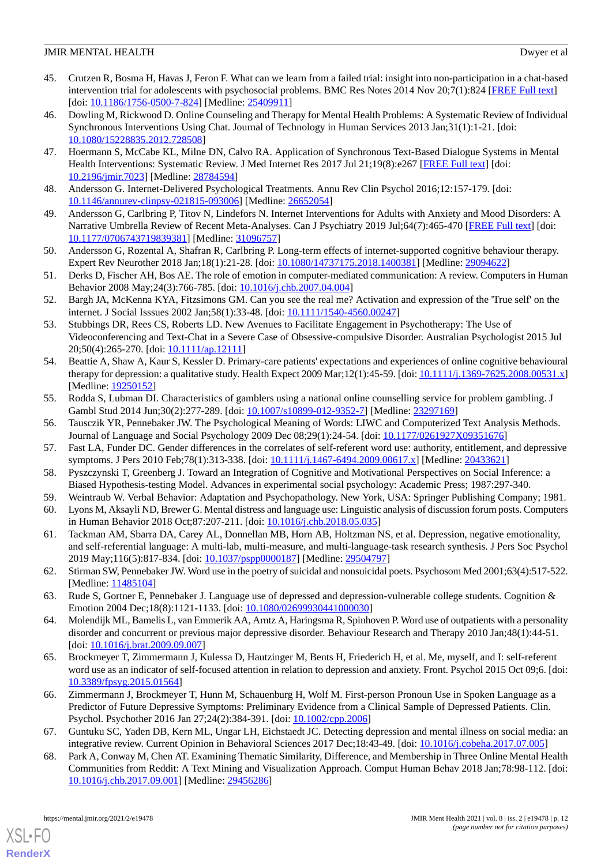- <span id="page-11-0"></span>45. Crutzen R, Bosma H, Havas J, Feron F. What can we learn from a failed trial: insight into non-participation in a chat-based intervention trial for adolescents with psychosocial problems. BMC Res Notes 2014 Nov 20;7(1):824 [\[FREE Full text\]](https://bmcresnotes.biomedcentral.com/articles/10.1186/1756-0500-7-824) [doi: [10.1186/1756-0500-7-824](http://dx.doi.org/10.1186/1756-0500-7-824)] [Medline: [25409911\]](http://www.ncbi.nlm.nih.gov/entrez/query.fcgi?cmd=Retrieve&db=PubMed&list_uids=25409911&dopt=Abstract)
- <span id="page-11-1"></span>46. Dowling M, Rickwood D. Online Counseling and Therapy for Mental Health Problems: A Systematic Review of Individual Synchronous Interventions Using Chat. Journal of Technology in Human Services 2013 Jan;31(1):1-21. [doi: [10.1080/15228835.2012.728508\]](http://dx.doi.org/10.1080/15228835.2012.728508)
- <span id="page-11-2"></span>47. Hoermann S, McCabe KL, Milne DN, Calvo RA. Application of Synchronous Text-Based Dialogue Systems in Mental Health Interventions: Systematic Review. J Med Internet Res 2017 Jul 21;19(8):e267 [[FREE Full text](http://www.jmir.org/2017/8/e267/)] [doi: [10.2196/jmir.7023](http://dx.doi.org/10.2196/jmir.7023)] [Medline: [28784594](http://www.ncbi.nlm.nih.gov/entrez/query.fcgi?cmd=Retrieve&db=PubMed&list_uids=28784594&dopt=Abstract)]
- <span id="page-11-3"></span>48. Andersson G. Internet-Delivered Psychological Treatments. Annu Rev Clin Psychol 2016;12:157-179. [doi: [10.1146/annurev-clinpsy-021815-093006\]](http://dx.doi.org/10.1146/annurev-clinpsy-021815-093006) [Medline: [26652054](http://www.ncbi.nlm.nih.gov/entrez/query.fcgi?cmd=Retrieve&db=PubMed&list_uids=26652054&dopt=Abstract)]
- <span id="page-11-4"></span>49. Andersson G, Carlbring P, Titov N, Lindefors N. Internet Interventions for Adults with Anxiety and Mood Disorders: A Narrative Umbrella Review of Recent Meta-Analyses. Can J Psychiatry 2019 Jul;64(7):465-470 [\[FREE Full text](http://europepmc.org/abstract/MED/31096757)] [doi: [10.1177/0706743719839381\]](http://dx.doi.org/10.1177/0706743719839381) [Medline: [31096757\]](http://www.ncbi.nlm.nih.gov/entrez/query.fcgi?cmd=Retrieve&db=PubMed&list_uids=31096757&dopt=Abstract)
- <span id="page-11-5"></span>50. Andersson G, Rozental A, Shafran R, Carlbring P. Long-term effects of internet-supported cognitive behaviour therapy. Expert Rev Neurother 2018 Jan;18(1):21-28. [doi: [10.1080/14737175.2018.1400381](http://dx.doi.org/10.1080/14737175.2018.1400381)] [Medline: [29094622\]](http://www.ncbi.nlm.nih.gov/entrez/query.fcgi?cmd=Retrieve&db=PubMed&list_uids=29094622&dopt=Abstract)
- <span id="page-11-6"></span>51. Derks D, Fischer AH, Bos AE. The role of emotion in computer-mediated communication: A review. Computers in Human Behavior 2008 May;24(3):766-785. [doi: [10.1016/j.chb.2007.04.004](http://dx.doi.org/10.1016/j.chb.2007.04.004)]
- <span id="page-11-7"></span>52. Bargh JA, McKenna KYA, Fitzsimons GM. Can you see the real me? Activation and expression of the 'True self' on the internet. J Social Isssues 2002 Jan;58(1):33-48. [doi: [10.1111/1540-4560.00247\]](http://dx.doi.org/10.1111/1540-4560.00247)
- <span id="page-11-8"></span>53. Stubbings DR, Rees CS, Roberts LD. New Avenues to Facilitate Engagement in Psychotherapy: The Use of Videoconferencing and Text-Chat in a Severe Case of Obsessive-compulsive Disorder. Australian Psychologist 2015 Jul 20;50(4):265-270. [doi: [10.1111/ap.12111\]](http://dx.doi.org/10.1111/ap.12111)
- <span id="page-11-9"></span>54. Beattie A, Shaw A, Kaur S, Kessler D. Primary-care patients' expectations and experiences of online cognitive behavioural therapy for depression: a qualitative study. Health Expect 2009 Mar;12(1):45-59. [doi:  $10.1111/j.1369-7625.2008.00531.x$ ] [Medline: [19250152](http://www.ncbi.nlm.nih.gov/entrez/query.fcgi?cmd=Retrieve&db=PubMed&list_uids=19250152&dopt=Abstract)]
- <span id="page-11-11"></span><span id="page-11-10"></span>55. Rodda S, Lubman DI. Characteristics of gamblers using a national online counselling service for problem gambling. J Gambl Stud 2014 Jun;30(2):277-289. [doi: [10.1007/s10899-012-9352-7\]](http://dx.doi.org/10.1007/s10899-012-9352-7) [Medline: [23297169](http://www.ncbi.nlm.nih.gov/entrez/query.fcgi?cmd=Retrieve&db=PubMed&list_uids=23297169&dopt=Abstract)]
- 56. Tausczik YR, Pennebaker JW. The Psychological Meaning of Words: LIWC and Computerized Text Analysis Methods. Journal of Language and Social Psychology 2009 Dec 08;29(1):24-54. [doi: [10.1177/0261927X09351676](http://dx.doi.org/10.1177/0261927X09351676)]
- <span id="page-11-13"></span><span id="page-11-12"></span>57. Fast LA, Funder DC. Gender differences in the correlates of self-referent word use: authority, entitlement, and depressive symptoms. J Pers 2010 Feb;78(1):313-338. [doi: [10.1111/j.1467-6494.2009.00617.x\]](http://dx.doi.org/10.1111/j.1467-6494.2009.00617.x) [Medline: [20433621](http://www.ncbi.nlm.nih.gov/entrez/query.fcgi?cmd=Retrieve&db=PubMed&list_uids=20433621&dopt=Abstract)]
- <span id="page-11-14"></span>58. Pyszczynski T, Greenberg J. Toward an Integration of Cognitive and Motivational Perspectives on Social Inference: a Biased Hypothesis-testing Model. Advances in experimental social psychology: Academic Press; 1987:297-340.
- 59. Weintraub W. Verbal Behavior: Adaptation and Psychopathology. New York, USA: Springer Publishing Company; 1981.
- <span id="page-11-15"></span>60. Lyons M, Aksayli ND, Brewer G. Mental distress and language use: Linguistic analysis of discussion forum posts. Computers in Human Behavior 2018 Oct;87:207-211. [doi: [10.1016/j.chb.2018.05.035](http://dx.doi.org/10.1016/j.chb.2018.05.035)]
- <span id="page-11-16"></span>61. Tackman AM, Sbarra DA, Carey AL, Donnellan MB, Horn AB, Holtzman NS, et al. Depression, negative emotionality, and self-referential language: A multi-lab, multi-measure, and multi-language-task research synthesis. J Pers Soc Psychol 2019 May;116(5):817-834. [doi: [10.1037/pspp0000187](http://dx.doi.org/10.1037/pspp0000187)] [Medline: [29504797](http://www.ncbi.nlm.nih.gov/entrez/query.fcgi?cmd=Retrieve&db=PubMed&list_uids=29504797&dopt=Abstract)]
- <span id="page-11-17"></span>62. Stirman SW, Pennebaker JW. Word use in the poetry of suicidal and nonsuicidal poets. Psychosom Med 2001;63(4):517-522. [Medline: [11485104](http://www.ncbi.nlm.nih.gov/entrez/query.fcgi?cmd=Retrieve&db=PubMed&list_uids=11485104&dopt=Abstract)]
- <span id="page-11-18"></span>63. Rude S, Gortner E, Pennebaker J. Language use of depressed and depression-vulnerable college students. Cognition & Emotion 2004 Dec;18(8):1121-1133. [doi: [10.1080/02699930441000030](http://dx.doi.org/10.1080/02699930441000030)]
- <span id="page-11-19"></span>64. Molendijk ML, Bamelis L, van Emmerik AA, Arntz A, Haringsma R, Spinhoven P. Word use of outpatients with a personality disorder and concurrent or previous major depressive disorder. Behaviour Research and Therapy 2010 Jan;48(1):44-51. [doi: [10.1016/j.brat.2009.09.007](http://dx.doi.org/10.1016/j.brat.2009.09.007)]
- <span id="page-11-20"></span>65. Brockmeyer T, Zimmermann J, Kulessa D, Hautzinger M, Bents H, Friederich H, et al. Me, myself, and I: self-referent word use as an indicator of self-focused attention in relation to depression and anxiety. Front. Psychol 2015 Oct 09;6. [doi: [10.3389/fpsyg.2015.01564](http://dx.doi.org/10.3389/fpsyg.2015.01564)]
- <span id="page-11-21"></span>66. Zimmermann J, Brockmeyer T, Hunn M, Schauenburg H, Wolf M. First-person Pronoun Use in Spoken Language as a Predictor of Future Depressive Symptoms: Preliminary Evidence from a Clinical Sample of Depressed Patients. Clin. Psychol. Psychother 2016 Jan 27;24(2):384-391. [doi: [10.1002/cpp.2006\]](http://dx.doi.org/10.1002/cpp.2006)
- 67. Guntuku SC, Yaden DB, Kern ML, Ungar LH, Eichstaedt JC. Detecting depression and mental illness on social media: an integrative review. Current Opinion in Behavioral Sciences 2017 Dec;18:43-49. [doi: [10.1016/j.cobeha.2017.07.005\]](http://dx.doi.org/10.1016/j.cobeha.2017.07.005)
- 68. Park A, Conway M, Chen AT. Examining Thematic Similarity, Difference, and Membership in Three Online Mental Health Communities from Reddit: A Text Mining and Visualization Approach. Comput Human Behav 2018 Jan;78:98-112. [doi: [10.1016/j.chb.2017.09.001\]](http://dx.doi.org/10.1016/j.chb.2017.09.001) [Medline: [29456286](http://www.ncbi.nlm.nih.gov/entrez/query.fcgi?cmd=Retrieve&db=PubMed&list_uids=29456286&dopt=Abstract)]

```
XSL•FO
RenderX
```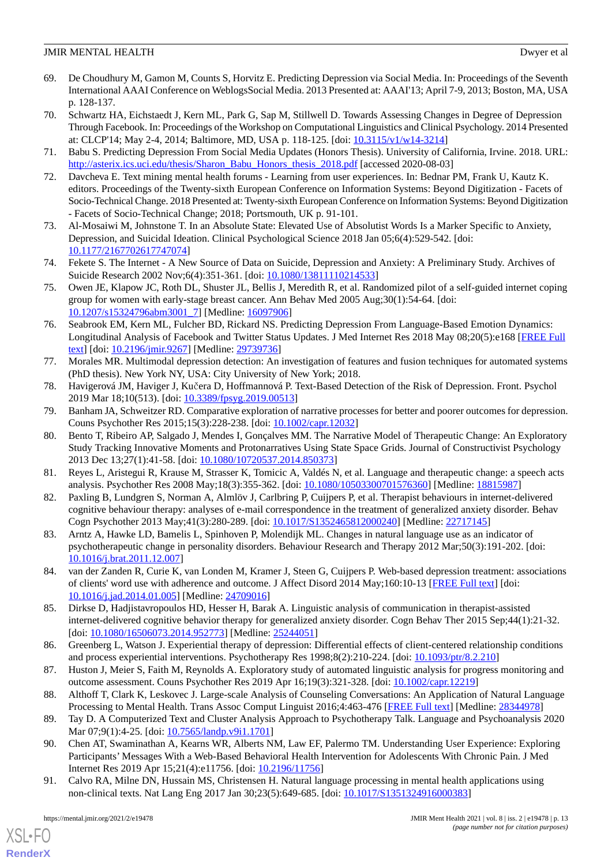- <span id="page-12-0"></span>69. De Choudhury M, Gamon M, Counts S, Horvitz E. Predicting Depression via Social Media. In: Proceedings of the Seventh International AAAI Conference on WeblogsSocial Media. 2013 Presented at: AAAI'13; April 7-9, 2013; Boston, MA, USA p. 128-137.
- <span id="page-12-1"></span>70. Schwartz HA, Eichstaedt J, Kern ML, Park G, Sap M, Stillwell D. Towards Assessing Changes in Degree of Depression Through Facebook. In: Proceedings of the Workshop on Computational Linguistics and Clinical Psychology. 2014 Presented at: CLCP'14; May 2-4, 2014; Baltimore, MD, USA p. 118-125. [doi: [10.3115/v1/w14-3214](http://dx.doi.org/10.3115/v1/w14-3214)]
- <span id="page-12-3"></span><span id="page-12-2"></span>71. Babu S. Predicting Depression From Social Media Updates (Honors Thesis). University of California, Irvine. 2018. URL: [http://asterix.ics.uci.edu/thesis/Sharon\\_Babu\\_Honors\\_thesis\\_2018.pdf](http://asterix.ics.uci.edu/thesis/Sharon_Babu_Honors_thesis_2018.pdf) [accessed 2020-08-03]
- 72. Davcheva E. Text mining mental health forums Learning from user experiences. In: Bednar PM, Frank U, Kautz K. editors. Proceedings of the Twenty-sixth European Conference on Information Systems: Beyond Digitization - Facets of Socio-Technical Change. 2018 Presented at: Twenty-sixth European Conference on Information Systems: Beyond Digitization - Facets of Socio-Technical Change; 2018; Portsmouth, UK p. 91-101.
- <span id="page-12-5"></span><span id="page-12-4"></span>73. Al-Mosaiwi M, Johnstone T. In an Absolute State: Elevated Use of Absolutist Words Is a Marker Specific to Anxiety, Depression, and Suicidal Ideation. Clinical Psychological Science 2018 Jan 05;6(4):529-542. [doi: [10.1177/2167702617747074\]](http://dx.doi.org/10.1177/2167702617747074)
- <span id="page-12-6"></span>74. Fekete S. The Internet - A New Source of Data on Suicide, Depression and Anxiety: A Preliminary Study. Archives of Suicide Research 2002 Nov;6(4):351-361. [doi: [10.1080/13811110214533\]](http://dx.doi.org/10.1080/13811110214533)
- <span id="page-12-7"></span>75. Owen JE, Klapow JC, Roth DL, Shuster JL, Bellis J, Meredith R, et al. Randomized pilot of a self-guided internet coping group for women with early-stage breast cancer. Ann Behav Med 2005 Aug;30(1):54-64. [doi: [10.1207/s15324796abm3001\\_7\]](http://dx.doi.org/10.1207/s15324796abm3001_7) [Medline: [16097906\]](http://www.ncbi.nlm.nih.gov/entrez/query.fcgi?cmd=Retrieve&db=PubMed&list_uids=16097906&dopt=Abstract)
- <span id="page-12-8"></span>76. Seabrook EM, Kern ML, Fulcher BD, Rickard NS. Predicting Depression From Language-Based Emotion Dynamics: Longitudinal Analysis of Facebook and Twitter Status Updates. J Med Internet Res 2018 May 08;20(5):e168 [\[FREE Full](http://www.jmir.org/2018/5/e168/) [text](http://www.jmir.org/2018/5/e168/)] [doi: [10.2196/jmir.9267](http://dx.doi.org/10.2196/jmir.9267)] [Medline: [29739736](http://www.ncbi.nlm.nih.gov/entrez/query.fcgi?cmd=Retrieve&db=PubMed&list_uids=29739736&dopt=Abstract)]
- <span id="page-12-10"></span><span id="page-12-9"></span>77. Morales MR. Multimodal depression detection: An investigation of features and fusion techniques for automated systems (PhD thesis). New York NY, USA: City University of New York; 2018.
- 78. Havigerová JM, Haviger J, Kučera D, Hoffmannová P. Text-Based Detection of the Risk of Depression. Front. Psychol 2019 Mar 18;10(513). [doi: [10.3389/fpsyg.2019.00513](http://dx.doi.org/10.3389/fpsyg.2019.00513)]
- 79. Banham JA, Schweitzer RD. Comparative exploration of narrative processes for better and poorer outcomes for depression. Couns Psychother Res 2015;15(3):228-238. [doi: [10.1002/capr.12032](http://dx.doi.org/10.1002/capr.12032)]
- <span id="page-12-12"></span><span id="page-12-11"></span>80. Bento T, Ribeiro AP, Salgado J, Mendes I, Gonçalves MM. The Narrative Model of Therapeutic Change: An Exploratory Study Tracking Innovative Moments and Protonarratives Using State Space Grids. Journal of Constructivist Psychology 2013 Dec 13;27(1):41-58. [doi: [10.1080/10720537.2014.850373\]](http://dx.doi.org/10.1080/10720537.2014.850373)
- <span id="page-12-13"></span>81. Reyes L, Aristegui R, Krause M, Strasser K, Tomicic A, Valdés N, et al. Language and therapeutic change: a speech acts analysis. Psychother Res 2008 May;18(3):355-362. [doi: [10.1080/10503300701576360](http://dx.doi.org/10.1080/10503300701576360)] [Medline: [18815987](http://www.ncbi.nlm.nih.gov/entrez/query.fcgi?cmd=Retrieve&db=PubMed&list_uids=18815987&dopt=Abstract)]
- <span id="page-12-14"></span>82. Paxling B, Lundgren S, Norman A, Almlöv J, Carlbring P, Cuijpers P, et al. Therapist behaviours in internet-delivered cognitive behaviour therapy: analyses of e-mail correspondence in the treatment of generalized anxiety disorder. Behav Cogn Psychother 2013 May;41(3):280-289. [doi: [10.1017/S1352465812000240](http://dx.doi.org/10.1017/S1352465812000240)] [Medline: [22717145](http://www.ncbi.nlm.nih.gov/entrez/query.fcgi?cmd=Retrieve&db=PubMed&list_uids=22717145&dopt=Abstract)]
- <span id="page-12-15"></span>83. Arntz A, Hawke LD, Bamelis L, Spinhoven P, Molendijk ML. Changes in natural language use as an indicator of psychotherapeutic change in personality disorders. Behaviour Research and Therapy 2012 Mar;50(3):191-202. [doi: [10.1016/j.brat.2011.12.007](http://dx.doi.org/10.1016/j.brat.2011.12.007)]
- <span id="page-12-16"></span>84. van der Zanden R, Curie K, van Londen M, Kramer J, Steen G, Cuijpers P. Web-based depression treatment: associations of clients' word use with adherence and outcome. J Affect Disord 2014 May;160:10-13 [[FREE Full text](http://linkinghub.elsevier.com/retrieve/pii/S0165-0327(14)00020-2)] [doi: [10.1016/j.jad.2014.01.005\]](http://dx.doi.org/10.1016/j.jad.2014.01.005) [Medline: [24709016\]](http://www.ncbi.nlm.nih.gov/entrez/query.fcgi?cmd=Retrieve&db=PubMed&list_uids=24709016&dopt=Abstract)
- <span id="page-12-18"></span><span id="page-12-17"></span>85. Dirkse D, Hadjistavropoulos HD, Hesser H, Barak A. Linguistic analysis of communication in therapist-assisted internet-delivered cognitive behavior therapy for generalized anxiety disorder. Cogn Behav Ther 2015 Sep;44(1):21-32. [doi: [10.1080/16506073.2014.952773](http://dx.doi.org/10.1080/16506073.2014.952773)] [Medline: [25244051\]](http://www.ncbi.nlm.nih.gov/entrez/query.fcgi?cmd=Retrieve&db=PubMed&list_uids=25244051&dopt=Abstract)
- <span id="page-12-19"></span>86. Greenberg L, Watson J. Experiential therapy of depression: Differential effects of client-centered relationship conditions and process experiential interventions. Psychotherapy Res 1998;8(2):210-224. [doi: [10.1093/ptr/8.2.210](http://dx.doi.org/10.1093/ptr/8.2.210)]
- <span id="page-12-20"></span>87. Huston J, Meier S, Faith M, Reynolds A. Exploratory study of automated linguistic analysis for progress monitoring and outcome assessment. Couns Psychother Res 2019 Apr 16;19(3):321-328. [doi: [10.1002/capr.12219](http://dx.doi.org/10.1002/capr.12219)]
- <span id="page-12-21"></span>88. Althoff T, Clark K, Leskovec J. Large-scale Analysis of Counseling Conversations: An Application of Natural Language Processing to Mental Health. Trans Assoc Comput Linguist 2016;4:463-476 [\[FREE Full text\]](http://europepmc.org/abstract/MED/28344978) [Medline: [28344978\]](http://www.ncbi.nlm.nih.gov/entrez/query.fcgi?cmd=Retrieve&db=PubMed&list_uids=28344978&dopt=Abstract)
- 89. Tay D. A Computerized Text and Cluster Analysis Approach to Psychotherapy Talk. Language and Psychoanalysis 2020 Mar 07;9(1):4-25. [doi: [10.7565/landp.v9i1.1701\]](http://dx.doi.org/10.7565/landp.v9i1.1701)
- 90. Chen AT, Swaminathan A, Kearns WR, Alberts NM, Law EF, Palermo TM. Understanding User Experience: Exploring Participants' Messages With a Web-Based Behavioral Health Intervention for Adolescents With Chronic Pain. J Med Internet Res 2019 Apr 15;21(4):e11756. [doi: [10.2196/11756\]](http://dx.doi.org/10.2196/11756)
- 91. Calvo RA, Milne DN, Hussain MS, Christensen H. Natural language processing in mental health applications using non-clinical texts. Nat Lang Eng 2017 Jan 30;23(5):649-685. [doi: [10.1017/S1351324916000383](http://dx.doi.org/10.1017/S1351324916000383)]